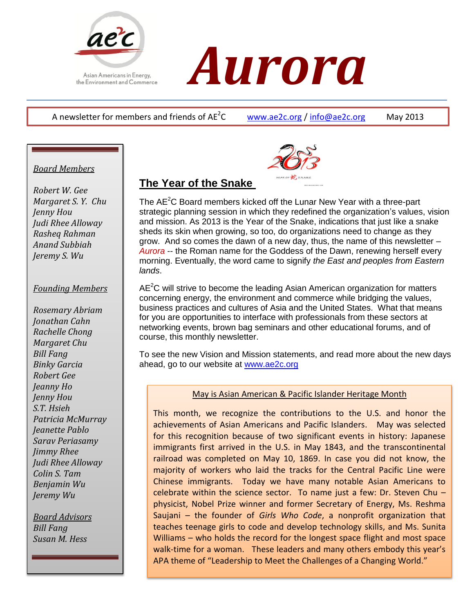

# *ACC<br>Asian Americans in Energy,<br>the Environment and Commerce*

A newsletter for members and friends of  $AF^2C$ 

[www.ae2c.org](http://www.ae2c.org/) / [info@ae2c.org](mailto:info@ae2c.org) May 2013

## *Board Members*

*Robert W. Gee Margaret S. Y. Chu Jenny Hou Judi Rhee Alloway Rasheq Rahman Anand Subbiah Jeremy S. Wu*

#### *Founding Members*

*Rosemary Abriam Jonathan Cahn Rachelle Chong Margaret Chu Bill Fang Binky Garcia Robert Gee Jeanny Ho Jenny Hou S.T. Hsieh Patricia McMurray Jeanette Pablo Sarav Periasamy Jimmy Rhee Judi Rhee Alloway Colin S. Tam Benjamin Wu Jeremy Wu*

*Board Advisors Bill Fang Susan M. Hess*



# **The Year of the Snake**

The AE<sup>2</sup>C Board members kicked off the Lunar New Year with a three-part strategic planning session in which they redefined the organization's values, vision and mission. As 2013 is the Year of the Snake, indications that just like a snake sheds its skin when growing, so too, do organizations need to change as they grow. And so comes the dawn of a new day, thus, the name of this newsletter – *Aurora* -- the Roman name for the Goddess of the Dawn, renewing herself every morning. Eventually, the word came to signify *the East and peoples from Eastern lands*.

 $AE<sup>2</sup>C$  will strive to become the leading Asian American organization for matters concerning energy, the environment and commerce while bridging the values, business practices and cultures of Asia and the United States. What that means for you are opportunities to interface with professionals from these sectors at networking events, brown bag seminars and other educational forums, and of course, this monthly newsletter.

To see the new Vision and Mission statements, and read more about the new days ahead, go to our website at [www.ae2c.org](http://www.ae2c.org/)

## May is Asian American & Pacific Islander Heritage Month

This month, we recognize the contributions to the U.S. and honor the achievements of Asian Americans and Pacific Islanders. May was selected for this recognition because of two significant events in history: Japanese immigrants first arrived in the U.S. in May 1843, and the transcontinental railroad was completed on May 10, 1869. In case you did not know, the majority of workers who laid the tracks for the Central Pacific Line were Chinese immigrants. Today we have many notable Asian Americans to celebrate within the science sector. To name just a few: Dr. Steven Chu – physicist, Nobel Prize winner and former Secretary of Energy, Ms. Reshma Saujani – the founder of *Girls Who Code*, a nonprofit organization that teaches teenage girls to code and develop technology skills, and Ms. Sunita Williams – who holds the record for the longest space flight and most space walk-time for a woman. These leaders and many others embody this year's APA theme of "Leadership to Meet the Challenges of a Changing World."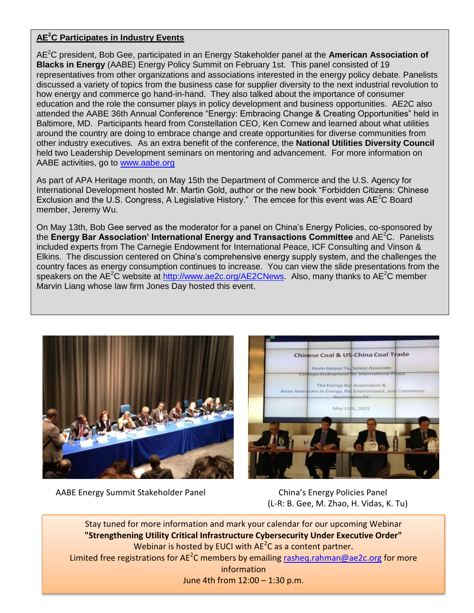#### **AE<sup>2</sup>C Participates in Industry Events**

AE<sup>2</sup>C president, Bob Gee, participated in an Energy Stakeholder panel at the **American Association of Blacks in Energy** (AABE) Energy Policy Summit on February 1st. This panel consisted of 19 representatives from other organizations and associations interested in the energy policy debate. Panelists discussed a variety of topics from the business case for supplier diversity to the next industrial revolution to how energy and commerce go hand-in-hand. They also talked about the importance of consumer education and the role the consumer plays in policy development and business opportunities. AE2C also attended the AABE 36th Annual Conference "Energy: Embracing Change & Creating Opportunities" held in Baltimore, MD. Participants heard from Constellation CEO, Ken Cornew and learned about what utilities around the country are doing to embrace change and create opportunities for diverse communities from other industry executives. As an extra benefit of the conference, the **National Utilities Diversity Council** held two Leadership Development seminars on mentoring and advancement. For more information on AABE activities, go to [www.aabe.org](http://www.aabe.org/)

As part of APA Heritage month, on May 15th the Department of Commerce and the U.S. Agency for International Development hosted Mr. Martin Gold, author or the new book "Forbidden Citizens: Chinese Exclusion and the U.S. Congress, A Legislative History." The emcee for this event was  $AE^2C$  Board member, Jeremy Wu.

On May 13th, Bob Gee served as the moderator for a panel on China's Energy Policies, co-sponsored by the **Energy Bar Association' International Energy and Transactions Committee** and AE<sup>2</sup>C. Panelists included experts from The Carnegie Endowment for International Peace, ICF Consulting and Vinson & Elkins. The discussion centered on China's comprehensive energy supply system, and the challenges the country faces as energy consumption continues to increase. You can view the slide presentations from the speakers on the AE<sup>2</sup>C website at [http://www.ae2c.org/AE2CNews.](http://www.ae2c.org/AE2CNews) Also, many thanks to AE<sup>2</sup>C member Marvin Liang whose law firm Jones Day hosted this event.



Chinese Coal & US-China Coal Trade Kevin Jianjun Tu, Senior Associate gle Endowment for International P The Energy Bar Association &<br>Asian Americans in Energy, the Environment, and Commerce May 13th, 2013

AABE Energy Summit Stakeholder Panel China's Energy Policies Panel

(L-R: B. Gee, M. Zhao, H. Vidas, K. Tu)

Stay tuned for more information and mark your calendar for our upcoming Webinar **"Strengthening Utility Critical Infrastructure Cybersecurity Under Executive Order"** Webinar is hosted by EUCI with  $AE^2C$  as a content partner. Limited free registrations for AE<sup>2</sup>C members by emailing  $\frac{r_{\text{asheq}}}{r_{\text{asheq}}}\cdot\frac{r_{\text{asheq}}}{r_{\text{asheq}}}\cdot\frac{r_{\text{asheq}}}{r_{\text{asheq}}}\cdot\frac{r_{\text{asheq}}}{r_{\text{asheq}}}\cdot\frac{r_{\text{asheq}}}{r_{\text{asheq}}}\cdot\frac{r_{\text{asheq}}}{r_{\text{asheq}}}\cdot\frac{r_{\text{asheq}}}{r_{\text{$ information June 4th from 12:00 – 1:30 p.m.